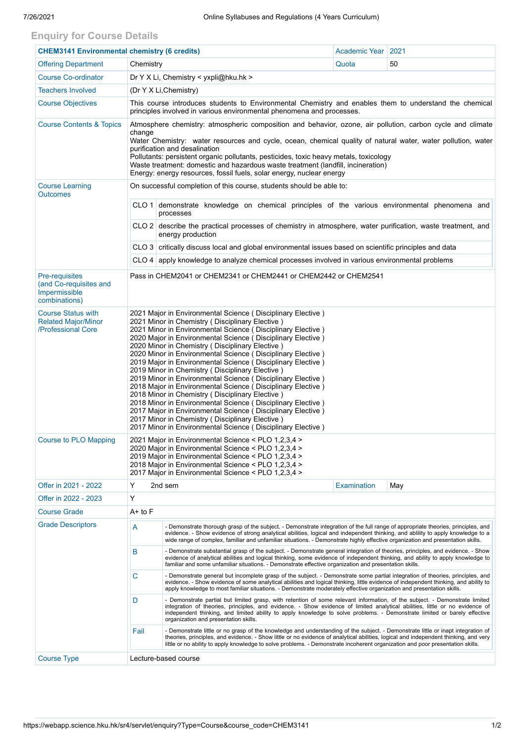## **Enquiry for Course Details**

| <b>CHEM3141 Environmental chemistry (6 credits)</b>                           |                                                                                                                                                                                                                                                                                                                                                                                                                                                                                                                                                                                                                                                                                                                                                                                                                                                                                                                   |                                                                                                                                                                                                                                                                                                                                                                                                                                   | Academic Year      | 2021 |  |  |  |  |
|-------------------------------------------------------------------------------|-------------------------------------------------------------------------------------------------------------------------------------------------------------------------------------------------------------------------------------------------------------------------------------------------------------------------------------------------------------------------------------------------------------------------------------------------------------------------------------------------------------------------------------------------------------------------------------------------------------------------------------------------------------------------------------------------------------------------------------------------------------------------------------------------------------------------------------------------------------------------------------------------------------------|-----------------------------------------------------------------------------------------------------------------------------------------------------------------------------------------------------------------------------------------------------------------------------------------------------------------------------------------------------------------------------------------------------------------------------------|--------------------|------|--|--|--|--|
| <b>Offering Department</b>                                                    | Chemistry                                                                                                                                                                                                                                                                                                                                                                                                                                                                                                                                                                                                                                                                                                                                                                                                                                                                                                         |                                                                                                                                                                                                                                                                                                                                                                                                                                   | Quota              | 50   |  |  |  |  |
| <b>Course Co-ordinator</b>                                                    |                                                                                                                                                                                                                                                                                                                                                                                                                                                                                                                                                                                                                                                                                                                                                                                                                                                                                                                   | Dr Y X Li, Chemistry < yxpli@hku.hk >                                                                                                                                                                                                                                                                                                                                                                                             |                    |      |  |  |  |  |
| <b>Teachers Involved</b>                                                      | (Dr Y X Li, Chemistry)                                                                                                                                                                                                                                                                                                                                                                                                                                                                                                                                                                                                                                                                                                                                                                                                                                                                                            |                                                                                                                                                                                                                                                                                                                                                                                                                                   |                    |      |  |  |  |  |
| <b>Course Objectives</b>                                                      | This course introduces students to Environmental Chemistry and enables them to understand the chemical<br>principles involved in various environmental phenomena and processes.                                                                                                                                                                                                                                                                                                                                                                                                                                                                                                                                                                                                                                                                                                                                   |                                                                                                                                                                                                                                                                                                                                                                                                                                   |                    |      |  |  |  |  |
| <b>Course Contents &amp; Topics</b>                                           | Atmosphere chemistry: atmospheric composition and behavior, ozone, air pollution, carbon cycle and climate<br>change<br>Water Chemistry: water resources and cycle, ocean, chemical quality of natural water, water pollution, water<br>purification and desalination<br>Pollutants: persistent organic pollutants, pesticides, toxic heavy metals, toxicology<br>Waste treatment: domestic and hazardous waste treatment (landfill, incineration)<br>Energy: energy resources, fossil fuels, solar energy, nuclear energy                                                                                                                                                                                                                                                                                                                                                                                        |                                                                                                                                                                                                                                                                                                                                                                                                                                   |                    |      |  |  |  |  |
| <b>Course Learning</b><br><b>Outcomes</b>                                     | On successful completion of this course, students should be able to:                                                                                                                                                                                                                                                                                                                                                                                                                                                                                                                                                                                                                                                                                                                                                                                                                                              |                                                                                                                                                                                                                                                                                                                                                                                                                                   |                    |      |  |  |  |  |
|                                                                               |                                                                                                                                                                                                                                                                                                                                                                                                                                                                                                                                                                                                                                                                                                                                                                                                                                                                                                                   | CLO 1 demonstrate knowledge on chemical principles of the various environmental phenomena and<br>processes                                                                                                                                                                                                                                                                                                                        |                    |      |  |  |  |  |
|                                                                               |                                                                                                                                                                                                                                                                                                                                                                                                                                                                                                                                                                                                                                                                                                                                                                                                                                                                                                                   | CLO 2 describe the practical processes of chemistry in atmosphere, water purification, waste treatment, and<br>energy production                                                                                                                                                                                                                                                                                                  |                    |      |  |  |  |  |
|                                                                               |                                                                                                                                                                                                                                                                                                                                                                                                                                                                                                                                                                                                                                                                                                                                                                                                                                                                                                                   | CLO 3 critically discuss local and global environmental issues based on scientific principles and data                                                                                                                                                                                                                                                                                                                            |                    |      |  |  |  |  |
|                                                                               | CLO 4 apply knowledge to analyze chemical processes involved in various environmental problems                                                                                                                                                                                                                                                                                                                                                                                                                                                                                                                                                                                                                                                                                                                                                                                                                    |                                                                                                                                                                                                                                                                                                                                                                                                                                   |                    |      |  |  |  |  |
| Pre-requisites<br>(and Co-requisites and<br>Impermissible<br>combinations)    | Pass in CHEM2041 or CHEM2341 or CHEM2441 or CHEM2442 or CHEM2541                                                                                                                                                                                                                                                                                                                                                                                                                                                                                                                                                                                                                                                                                                                                                                                                                                                  |                                                                                                                                                                                                                                                                                                                                                                                                                                   |                    |      |  |  |  |  |
| <b>Course Status with</b><br><b>Related Major/Minor</b><br>/Professional Core | 2021 Major in Environmental Science (Disciplinary Elective)<br>2021 Minor in Chemistry (Disciplinary Elective)<br>2021 Minor in Environmental Science (Disciplinary Elective)<br>2020 Major in Environmental Science (Disciplinary Elective)<br>2020 Minor in Chemistry (Disciplinary Elective)<br>2020 Minor in Environmental Science (Disciplinary Elective)<br>2019 Major in Environmental Science (Disciplinary Elective)<br>2019 Minor in Chemistry (Disciplinary Elective)<br>2019 Minor in Environmental Science (Disciplinary Elective)<br>2018 Major in Environmental Science (Disciplinary Elective)<br>2018 Minor in Chemistry (Disciplinary Elective)<br>2018 Minor in Environmental Science (Disciplinary Elective)<br>2017 Major in Environmental Science (Disciplinary Elective)<br>2017 Minor in Chemistry (Disciplinary Elective)<br>2017 Minor in Environmental Science (Disciplinary Elective) |                                                                                                                                                                                                                                                                                                                                                                                                                                   |                    |      |  |  |  |  |
| <b>Course to PLO Mapping</b>                                                  | 2021 Major in Environmental Science < PLO 1,2,3,4 ><br>2020 Major in Environmental Science < PLO 1,2,3,4 ><br>2019 Major in Environmental Science < PLO 1,2,3,4 ><br>2018 Major in Environmental Science < PLO 1,2,3,4 ><br>2017 Major in Environmental Science < PLO 1,2,3,4 >                                                                                                                                                                                                                                                                                                                                                                                                                                                                                                                                                                                                                                   |                                                                                                                                                                                                                                                                                                                                                                                                                                   |                    |      |  |  |  |  |
| Offer in 2021 - 2022                                                          | Y                                                                                                                                                                                                                                                                                                                                                                                                                                                                                                                                                                                                                                                                                                                                                                                                                                                                                                                 | 2nd sem                                                                                                                                                                                                                                                                                                                                                                                                                           | <b>Examination</b> | May  |  |  |  |  |
| Offer in 2022 - 2023                                                          | Υ                                                                                                                                                                                                                                                                                                                                                                                                                                                                                                                                                                                                                                                                                                                                                                                                                                                                                                                 |                                                                                                                                                                                                                                                                                                                                                                                                                                   |                    |      |  |  |  |  |
| <b>Course Grade</b>                                                           | $A+$ to $F$                                                                                                                                                                                                                                                                                                                                                                                                                                                                                                                                                                                                                                                                                                                                                                                                                                                                                                       |                                                                                                                                                                                                                                                                                                                                                                                                                                   |                    |      |  |  |  |  |
| <b>Grade Descriptors</b>                                                      | - Demonstrate thorough grasp of the subject. - Demonstrate integration of the full range of appropriate theories, principles, and<br>A<br>evidence. - Show evidence of strong analytical abilities, logical and independent thinking, and ability to apply knowledge to a<br>wide range of complex, familiar and unfamiliar situations. - Demonstrate highly effective organization and presentation skills.                                                                                                                                                                                                                                                                                                                                                                                                                                                                                                      |                                                                                                                                                                                                                                                                                                                                                                                                                                   |                    |      |  |  |  |  |
|                                                                               | В                                                                                                                                                                                                                                                                                                                                                                                                                                                                                                                                                                                                                                                                                                                                                                                                                                                                                                                 | - Demonstrate substantial grasp of the subject. - Demonstrate general integration of theories, principles, and evidence. - Show<br>evidence of analytical abilities and logical thinking, some evidence of independent thinking, and ability to apply knowledge to<br>familiar and some unfamiliar situations. - Demonstrate effective organization and presentation skills.                                                      |                    |      |  |  |  |  |
|                                                                               | C                                                                                                                                                                                                                                                                                                                                                                                                                                                                                                                                                                                                                                                                                                                                                                                                                                                                                                                 | - Demonstrate general but incomplete grasp of the subject. - Demonstrate some partial integration of theories, principles, and<br>evidence. - Show evidence of some analytical abilities and logical thinking, little evidence of independent thinking, and ability to<br>apply knowledge to most familiar situations. - Demonstrate moderately effective organization and presentation skills.                                   |                    |      |  |  |  |  |
|                                                                               | D                                                                                                                                                                                                                                                                                                                                                                                                                                                                                                                                                                                                                                                                                                                                                                                                                                                                                                                 | - Demonstrate partial but limited grasp, with retention of some relevant information, of the subject. - Demonstrate limited<br>integration of theories, principles, and evidence. - Show evidence of limited analytical abilities, little or no evidence of<br>independent thinking, and limited ability to apply knowledge to solve problems. - Demonstrate limited or barely effective<br>organization and presentation skills. |                    |      |  |  |  |  |
|                                                                               | Fail                                                                                                                                                                                                                                                                                                                                                                                                                                                                                                                                                                                                                                                                                                                                                                                                                                                                                                              | - Demonstrate little or no grasp of the knowledge and understanding of the subject. - Demonstrate little or inapt integration of<br>theories, principles, and evidence. - Show little or no evidence of analytical abilities, logical and independent thinking, and very<br>little or no ability to apply knowledge to solve problems. - Demonstrate incoherent organization and poor presentation skills.                        |                    |      |  |  |  |  |
| <b>Course Type</b>                                                            | Lecture-based course                                                                                                                                                                                                                                                                                                                                                                                                                                                                                                                                                                                                                                                                                                                                                                                                                                                                                              |                                                                                                                                                                                                                                                                                                                                                                                                                                   |                    |      |  |  |  |  |